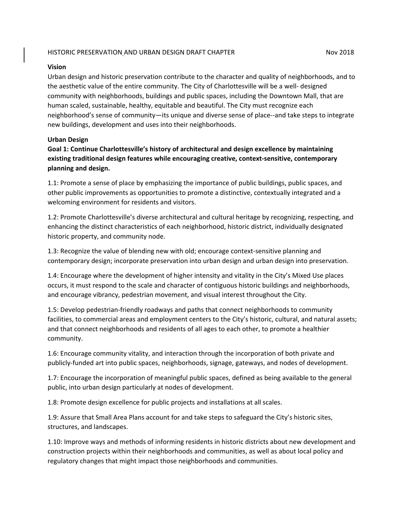### HISTORIC PRESERVATION AND URBAN DESIGN DRAFT CHAPTER NOW 2018

#### **Vision**

Urban design and historic preservation contribute to the character and quality of neighborhoods, and to the aesthetic value of the entire community. The City of Charlottesville will be a well- designed community with neighborhoods, buildings and public spaces, including the Downtown Mall, that are human scaled, sustainable, healthy, equitable and beautiful. The City must recognize each neighborhood's sense of community—its unique and diverse sense of place--and take steps to integrate new buildings, development and uses into their neighborhoods.

### **Urban Design**

**Goal 1: Continue Charlottesville's history of architectural and design excellence by maintaining existing traditional design features while encouraging creative, context-sensitive, contemporary planning and design.**

1.1: Promote a sense of place by emphasizing the importance of public buildings, public spaces, and other public improvements as opportunities to promote a distinctive, contextually integrated and a welcoming environment for residents and visitors.

1.2: Promote Charlottesville's diverse architectural and cultural heritage by recognizing, respecting, and enhancing the distinct characteristics of each neighborhood, historic district, individually designated historic property, and community node.

1.3: Recognize the value of blending new with old; encourage context-sensitive planning and contemporary design; incorporate preservation into urban design and urban design into preservation.

1.4: Encourage where the development of higher intensity and vitality in the City's Mixed Use places occurs, it must respond to the scale and character of contiguous historic buildings and neighborhoods, and encourage vibrancy, pedestrian movement, and visual interest throughout the City.

1.5: Develop pedestrian-friendly roadways and paths that connect neighborhoods to community facilities, to commercial areas and employment centers to the City's historic, cultural, and natural assets; and that connect neighborhoods and residents of all ages to each other, to promote a healthier community.

1.6: Encourage community vitality, and interaction through the incorporation of both private and publicly-funded art into public spaces, neighborhoods, signage, gateways, and nodes of development.

1.7: Encourage the incorporation of meaningful public spaces, defined as being available to the general public, into urban design particularly at nodes of development.

1.8: Promote design excellence for public projects and installations at all scales.

1.9: Assure that Small Area Plans account for and take steps to safeguard the City's historic sites, structures, and landscapes.

1.10: Improve ways and methods of informing residents in historic districts about new development and construction projects within their neighborhoods and communities, as well as about local policy and regulatory changes that might impact those neighborhoods and communities.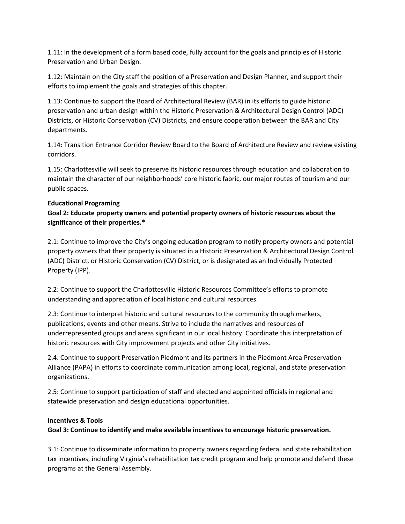1.11: In the development of a form based code, fully account for the goals and principles of Historic Preservation and Urban Design.

1.12: Maintain on the City staff the position of a Preservation and Design Planner, and support their efforts to implement the goals and strategies of this chapter.

1.13: Continue to support the Board of Architectural Review (BAR) in its efforts to guide historic preservation and urban design within the Historic Preservation & Architectural Design Control (ADC) Districts, or Historic Conservation (CV) Districts, and ensure cooperation between the BAR and City departments.

1.14: Transition Entrance Corridor Review Board to the Board of Architecture Review and review existing corridors.

1.15: Charlottesville will seek to preserve its historic resources through education and collaboration to maintain the character of our neighborhoods' core historic fabric, our major routes of tourism and our public spaces.

## **Educational Programing**

## **Goal 2: Educate property owners and potential property owners of historic resources about the significance of their properties.\***

2.1: Continue to improve the City's ongoing education program to notify property owners and potential property owners that their property is situated in a Historic Preservation & Architectural Design Control (ADC) District, or Historic Conservation (CV) District, or is designated as an Individually Protected Property (IPP).

2.2: Continue to support the Charlottesville Historic Resources Committee's efforts to promote understanding and appreciation of local historic and cultural resources.

2.3: Continue to interpret historic and cultural resources to the community through markers, publications, events and other means. Strive to include the narratives and resources of underrepresented groups and areas significant in our local history. Coordinate this interpretation of historic resources with City improvement projects and other City initiatives.

2.4: Continue to support Preservation Piedmont and its partners in the Piedmont Area Preservation Alliance (PAPA) in efforts to coordinate communication among local, regional, and state preservation organizations.

2.5: Continue to support participation of staff and elected and appointed officials in regional and statewide preservation and design educational opportunities.

### **Incentives & Tools**

**Goal 3: Continue to identify and make available incentives to encourage historic preservation.**

3.1: Continue to disseminate information to property owners regarding federal and state rehabilitation tax incentives, including Virginia's rehabilitation tax credit program and help promote and defend these programs at the General Assembly.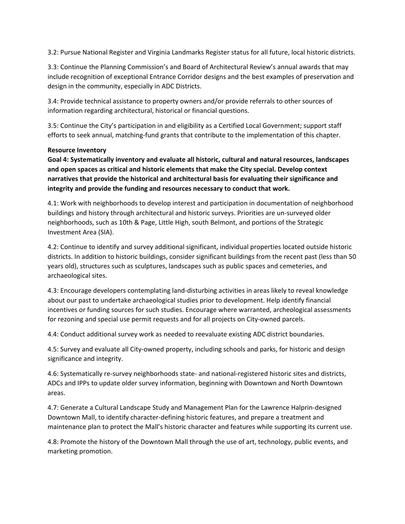3.2: Pursue National Register and Virginia Landmarks Register status for all future, local historic districts.

3.3: Continue the Planning Commission's and Board of Architectural Review's annual awards that may include recognition of exceptional Entrance Corridor designs and the best examples of preservation and design in the community, especially in ADC Districts.

3.4: Provide technical assistance to property owners and/or provide referrals to other sources of information regarding architectural, historical or financial questions.

3.5: Continue the City's participation in and eligibility as a Certified Local Government; support staff efforts to seek annual, matching-fund grants that contribute to the implementation of this chapter.

## **Resource Inventory**

**Goal 4: Systematically inventory and evaluate all historic, cultural and natural resources, landscapes and open spaces as critical and historic elements that make the City special. Develop context narratives that provide the historical and architectural basis for evaluating their significance and integrity and provide the funding and resources necessary to conduct that work.**

4.1: Work with neighborhoods to develop interest and participation in documentation of neighborhood buildings and history through architectural and historic surveys. Priorities are un-surveyed older neighborhoods, such as 10th & Page, Little High, south Belmont, and portions of the Strategic Investment Area (SIA).

4.2: Continue to identify and survey additional significant, individual properties located outside historic districts. In addition to historic buildings, consider significant buildings from the recent past (less than 50 years old), structures such as sculptures, landscapes such as public spaces and cemeteries, and archaeological sites.

4.3: Encourage developers contemplating land-disturbing activities in areas likely to reveal knowledge about our past to undertake archaeological studies prior to development. Help identify financial incentives or funding sources for such studies. Encourage where warranted, archeological assessments for rezoning and special use permit requests and for all projects on City-owned parcels.

4.4: Conduct additional survey work as needed to reevaluate existing ADC district boundaries.

4.5: Survey and evaluate all City-owned property, including schools and parks, for historic and design significance and integrity.

4.6: Systematically re-survey neighborhoods state- and national-registered historic sites and districts, ADCs and IPPs to update older survey information, beginning with Downtown and North Downtown areas.

4.7: Generate a Cultural Landscape Study and Management Plan for the Lawrence Halprin-designed Downtown Mall, to identify character-defining historic features, and prepare a treatment and maintenance plan to protect the Mall's historic character and features while supporting its current use.

4.8: Promote the history of the Downtown Mall through the use of art, technology, public events, and marketing promotion.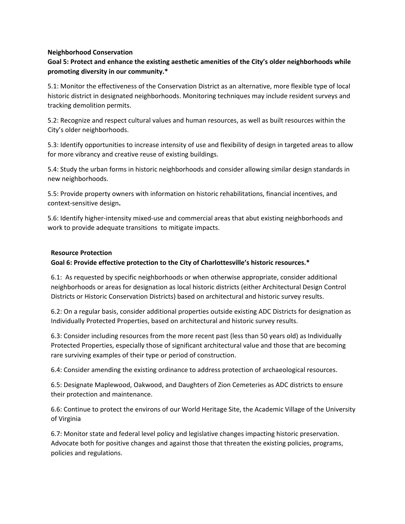### **Neighborhood Conservation**

## **Goal 5: Protect and enhance the existing aesthetic amenities of the City's older neighborhoods while promoting diversity in our community.\***

5.1: Monitor the effectiveness of the Conservation District as an alternative, more flexible type of local historic district in designated neighborhoods. Monitoring techniques may include resident surveys and tracking demolition permits.

5.2: Recognize and respect cultural values and human resources, as well as built resources within the City's older neighborhoods.

5.3: Identify opportunities to increase intensity of use and flexibility of design in targeted areas to allow for more vibrancy and creative reuse of existing buildings.

5.4: Study the urban forms in historic neighborhoods and consider allowing similar design standards in new neighborhoods.

5.5: Provide property owners with information on historic rehabilitations, financial incentives, and context-sensitive design**.**

5.6: Identify higher-intensity mixed-use and commercial areas that abut existing neighborhoods and work to provide adequate transitions to mitigate impacts.

### **Resource Protection**

### **Goal 6: Provide effective protection to the City of Charlottesville's historic resources.\***

6.1: As requested by specific neighborhoods or when otherwise appropriate, consider additional neighborhoods or areas for designation as local historic districts (either Architectural Design Control Districts or Historic Conservation Districts) based on architectural and historic survey results.

6.2: On a regular basis, consider additional properties outside existing ADC Districts for designation as Individually Protected Properties, based on architectural and historic survey results.

6.3: Consider including resources from the more recent past (less than 50 years old) as Individually Protected Properties, especially those of significant architectural value and those that are becoming rare surviving examples of their type or period of construction.

6.4: Consider amending the existing ordinance to address protection of archaeological resources.

6.5: Designate Maplewood, Oakwood, and Daughters of Zion Cemeteries as ADC districts to ensure their protection and maintenance.

6.6: Continue to protect the environs of our World Heritage Site, the Academic Village of the University of Virginia

6.7: Monitor state and federal level policy and legislative changes impacting historic preservation. Advocate both for positive changes and against those that threaten the existing policies, programs, policies and regulations.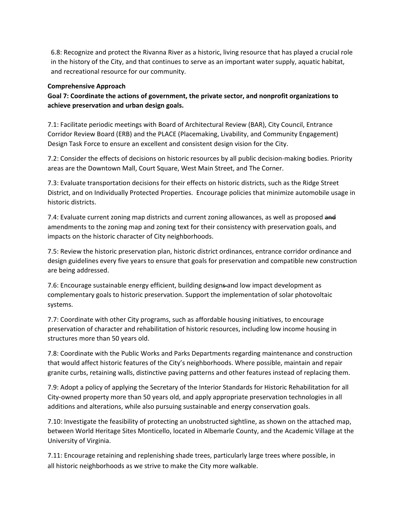6.8: Recognize and protect the Rivanna River as a historic, living resource that has played a crucial role in the history of the City, and that continues to serve as an important water supply, aquatic habitat, and recreational resource for our community.

### **Comprehensive Approach**

**Goal 7: Coordinate the actions of government, the private sector, and nonprofit organizations to achieve preservation and urban design goals.**

7.1: Facilitate periodic meetings with Board of Architectural Review (BAR), City Council, Entrance Corridor Review Board (ERB) and the PLACE (Placemaking, Livability, and Community Engagement) Design Task Force to ensure an excellent and consistent design vision for the City.

7.2: Consider the effects of decisions on historic resources by all public decision-making bodies. Priority areas are the Downtown Mall, Court Square, West Main Street, and The Corner.

7.3: Evaluate transportation decisions for their effects on historic districts, such as the Ridge Street District, and on Individually Protected Properties. Encourage policies that minimize automobile usage in historic districts.

7.4: Evaluate current zoning map districts and current zoning allowances, as well as proposed and amendments to the zoning map and zoning text for their consistency with preservation goals, and impacts on the historic character of City neighborhoods.

7.5: Review the historic preservation plan, historic district ordinances, entrance corridor ordinance and design guidelines every five years to ensure that goals for preservation and compatible new construction are being addressed.

7.6: Encourage sustainable energy efficient, building designs-and low impact development as complementary goals to historic preservation. Support the implementation of solar photovoltaic systems.

7.7: Coordinate with other City programs, such as affordable housing initiatives, to encourage preservation of character and rehabilitation of historic resources, including low income housing in structures more than 50 years old.

7.8: Coordinate with the Public Works and Parks Departments regarding maintenance and construction that would affect historic features of the City's neighborhoods. Where possible, maintain and repair granite curbs, retaining walls, distinctive paving patterns and other features instead of replacing them.

7.9: Adopt a policy of applying the Secretary of the Interior Standards for Historic Rehabilitation for all City-owned property more than 50 years old, and apply appropriate preservation technologies in all additions and alterations, while also pursuing sustainable and energy conservation goals.

7.10: Investigate the feasibility of protecting an unobstructed sightline, as shown on the attached map, between World Heritage Sites Monticello, located in Albemarle County, and the Academic Village at the University of Virginia.

7.11: Encourage retaining and replenishing shade trees, particularly large trees where possible, in all historic neighborhoods as we strive to make the City more walkable.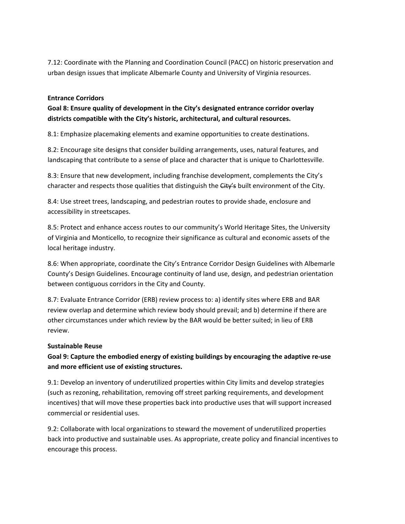7.12: Coordinate with the Planning and Coordination Council (PACC) on historic preservation and urban design issues that implicate Albemarle County and University of Virginia resources.

### **Entrance Corridors**

**Goal 8: Ensure quality of development in the City's designated entrance corridor overlay districts compatible with the City's historic, architectural, and cultural resources.**

8.1: Emphasize placemaking elements and examine opportunities to create destinations.

8.2: Encourage site designs that consider building arrangements, uses, natural features, and landscaping that contribute to a sense of place and character that is unique to Charlottesville.

8.3: Ensure that new development, including franchise development, complements the City's character and respects those qualities that distinguish the City's built environment of the City.

8.4: Use street trees, landscaping, and pedestrian routes to provide shade, enclosure and accessibility in streetscapes.

8.5: Protect and enhance access routes to our community's World Heritage Sites, the University of Virginia and Monticello, to recognize their significance as cultural and economic assets of the local heritage industry.

8.6: When appropriate, coordinate the City's Entrance Corridor Design Guidelines with Albemarle County's Design Guidelines. Encourage continuity of land use, design, and pedestrian orientation between contiguous corridors in the City and County.

8.7: Evaluate Entrance Corridor (ERB) review process to: a) identify sites where ERB and BAR review overlap and determine which review body should prevail; and b) determine if there are other circumstances under which review by the BAR would be better suited; in lieu of ERB review.

### **Sustainable Reuse**

# **Goal 9: Capture the embodied energy of existing buildings by encouraging the adaptive re-use and more efficient use of existing structures.**

9.1: Develop an inventory of underutilized properties within City limits and develop strategies (such as rezoning, rehabilitation, removing off street parking requirements, and development incentives) that will move these properties back into productive uses that will support increased commercial or residential uses.

9.2: Collaborate with local organizations to steward the movement of underutilized properties back into productive and sustainable uses. As appropriate, create policy and financial incentives to encourage this process.